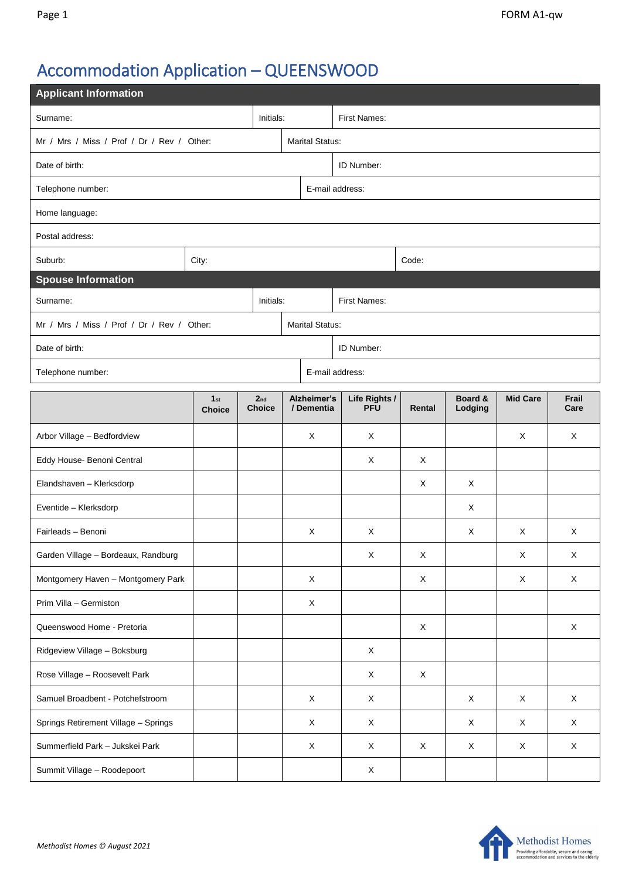# Accommodation Application – QUEENSWOOD

| <b>Applicant Information</b>               |                      |  |                                  |                           |                             |             |                    |                 |               |  |  |  |
|--------------------------------------------|----------------------|--|----------------------------------|---------------------------|-----------------------------|-------------|--------------------|-----------------|---------------|--|--|--|
| Initials:<br>Surname:                      |                      |  |                                  |                           | First Names:                |             |                    |                 |               |  |  |  |
| Mr / Mrs / Miss / Prof / Dr / Rev / Other: |                      |  |                                  |                           | <b>Marital Status:</b>      |             |                    |                 |               |  |  |  |
| Date of birth:                             |                      |  |                                  |                           | ID Number:                  |             |                    |                 |               |  |  |  |
| Telephone number:                          |                      |  |                                  |                           | E-mail address:             |             |                    |                 |               |  |  |  |
| Home language:                             |                      |  |                                  |                           |                             |             |                    |                 |               |  |  |  |
| Postal address:                            |                      |  |                                  |                           |                             |             |                    |                 |               |  |  |  |
| Suburb:<br>City:                           |                      |  |                                  |                           | Code:                       |             |                    |                 |               |  |  |  |
| <b>Spouse Information</b>                  |                      |  |                                  |                           |                             |             |                    |                 |               |  |  |  |
| Initials:<br>Surname:                      |                      |  |                                  |                           | First Names:                |             |                    |                 |               |  |  |  |
| Mr / Mrs / Miss / Prof / Dr / Rev / Other: |                      |  |                                  |                           | <b>Marital Status:</b>      |             |                    |                 |               |  |  |  |
| Date of birth:                             |                      |  |                                  |                           | ID Number:                  |             |                    |                 |               |  |  |  |
| E-mail address:<br>Telephone number:       |                      |  |                                  |                           |                             |             |                    |                 |               |  |  |  |
|                                            | 1st<br><b>Choice</b> |  | 2 <sub>nd</sub><br><b>Choice</b> | Alzheimer's<br>/ Dementia | Life Rights /<br><b>PFU</b> | Rental      | Board &<br>Lodging | <b>Mid Care</b> | Frail<br>Care |  |  |  |
| Arbor Village - Bedfordview                |                      |  |                                  | X                         | X                           |             |                    | Χ               | X             |  |  |  |
| Eddy House- Benoni Central                 |                      |  |                                  |                           | X                           | Χ           |                    |                 |               |  |  |  |
| Elandshaven - Klerksdorp                   |                      |  |                                  |                           |                             | X           | X                  |                 |               |  |  |  |
| Eventide - Klerksdorp                      |                      |  |                                  |                           |                             |             | X                  |                 |               |  |  |  |
| Fairleads - Benoni                         |                      |  |                                  | X                         | X                           |             | X                  | X               | X             |  |  |  |
| Garden Village - Bordeaux, Randburg        |                      |  |                                  |                           | $\mathsf X$                 | $\mathsf X$ |                    | $\mathsf X$     | $\mathsf X$   |  |  |  |
| Montgomery Haven - Montgomery Park         |                      |  |                                  | X                         |                             | $\mathsf X$ |                    | $\mathsf X$     | $\mathsf{X}$  |  |  |  |
| Prim Villa - Germiston                     |                      |  |                                  | $\mathsf X$               |                             |             |                    |                 |               |  |  |  |
| Queenswood Home - Pretoria                 |                      |  |                                  |                           |                             | $\mathsf X$ |                    |                 | $\mathsf{X}$  |  |  |  |
| Ridgeview Village - Boksburg               |                      |  |                                  |                           | X                           |             |                    |                 |               |  |  |  |
| Rose Village - Roosevelt Park              |                      |  |                                  |                           | X                           | X           |                    |                 |               |  |  |  |
| Samuel Broadbent - Potchefstroom           |                      |  |                                  | $\mathsf X$               | $\mathsf X$                 |             | X                  | X               | $\mathsf X$   |  |  |  |
| Springs Retirement Village - Springs       |                      |  |                                  | $\mathsf X$               | $\mathsf X$                 |             | X                  | X               | $\mathsf X$   |  |  |  |
| Summerfield Park - Jukskei Park            |                      |  |                                  | X                         | X                           | X           | X                  | X               | $\mathsf X$   |  |  |  |
| Summit Village - Roodepoort                |                      |  |                                  |                           | X                           |             |                    |                 |               |  |  |  |

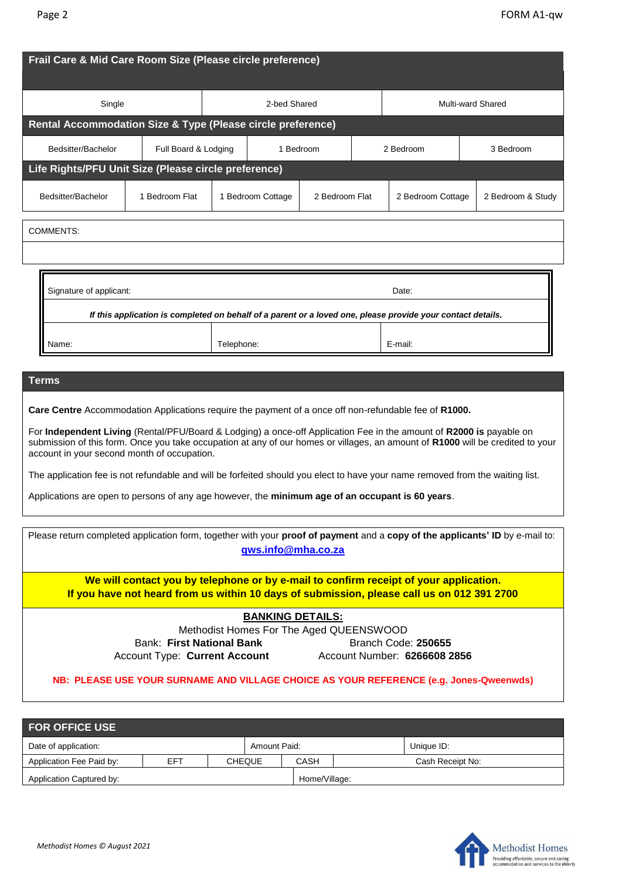| Frail Care & Mid Care Room Size (Please circle preference)                                                                                                                                                                                                                                                                                                                                                                                                                                                                                                                                                                                                  |                      |                   |              |  |                |                   |  |                   |  |
|-------------------------------------------------------------------------------------------------------------------------------------------------------------------------------------------------------------------------------------------------------------------------------------------------------------------------------------------------------------------------------------------------------------------------------------------------------------------------------------------------------------------------------------------------------------------------------------------------------------------------------------------------------------|----------------------|-------------------|--------------|--|----------------|-------------------|--|-------------------|--|
| Single                                                                                                                                                                                                                                                                                                                                                                                                                                                                                                                                                                                                                                                      |                      |                   | 2-bed Shared |  |                | Multi-ward Shared |  |                   |  |
| Rental Accommodation Size & Type (Please circle preference)                                                                                                                                                                                                                                                                                                                                                                                                                                                                                                                                                                                                 |                      |                   |              |  |                |                   |  |                   |  |
| Bedsitter/Bachelor                                                                                                                                                                                                                                                                                                                                                                                                                                                                                                                                                                                                                                          | Full Board & Lodging | 1 Bedroom         |              |  |                | 2 Bedroom         |  | 3 Bedroom         |  |
| Life Rights/PFU Unit Size (Please circle preference)                                                                                                                                                                                                                                                                                                                                                                                                                                                                                                                                                                                                        |                      |                   |              |  |                |                   |  |                   |  |
| Bedsitter/Bachelor                                                                                                                                                                                                                                                                                                                                                                                                                                                                                                                                                                                                                                          | 1 Bedroom Flat       | 1 Bedroom Cottage |              |  | 2 Bedroom Flat | 2 Bedroom Cottage |  | 2 Bedroom & Study |  |
| <b>COMMENTS:</b>                                                                                                                                                                                                                                                                                                                                                                                                                                                                                                                                                                                                                                            |                      |                   |              |  |                |                   |  |                   |  |
|                                                                                                                                                                                                                                                                                                                                                                                                                                                                                                                                                                                                                                                             |                      |                   |              |  |                |                   |  |                   |  |
| Signature of applicant:<br>Date:<br>If this application is completed on behalf of a parent or a loved one, please provide your contact details.<br>Name:<br>Telephone:<br>E-mail:                                                                                                                                                                                                                                                                                                                                                                                                                                                                           |                      |                   |              |  |                |                   |  |                   |  |
| Terms<br>Care Centre Accommodation Applications require the payment of a once off non-refundable fee of R1000.<br>For Independent Living (Rental/PFU/Board & Lodging) a once-off Application Fee in the amount of R2000 is payable on<br>submission of this form. Once you take occupation at any of our homes or villages, an amount of R1000 will be credited to your<br>account in your second month of occupation.<br>The application fee is not refundable and will be forfeited should you elect to have your name removed from the waiting list.<br>Applications are open to persons of any age however, the minimum age of an occupant is 60 years. |                      |                   |              |  |                |                   |  |                   |  |
| Please return completed application form, together with your proof of payment and a copy of the applicants' ID by e-mail to:<br>qws.info@mha.co.za                                                                                                                                                                                                                                                                                                                                                                                                                                                                                                          |                      |                   |              |  |                |                   |  |                   |  |

**We will contact you by telephone or by e-mail to confirm receipt of your application. If you have not heard from us within 10 days of submission, please call us on 012 391 2700**

### **BANKING DETAILS:**

Methodist Homes For The Aged QUEENSWOOD Bank: First National Bank **Branch Code: 250655** Account Type: **Current Account** Account Number: **6266608 2856**

### **NB: PLEASE USE YOUR SURNAME AND VILLAGE CHOICE AS YOUR REFERENCE (e.g. Jones-Qweenwds)**

| <b>FOR OFFICE USE</b>    |     |              |               |               |                  |  |  |  |  |  |
|--------------------------|-----|--------------|---------------|---------------|------------------|--|--|--|--|--|
| Date of application:     |     | Amount Paid: |               |               | Unique ID:       |  |  |  |  |  |
| Application Fee Paid by: | EFT |              | <b>CHEQUE</b> | CASH          | Cash Receipt No: |  |  |  |  |  |
| Application Captured by: |     |              |               | Home/Village: |                  |  |  |  |  |  |

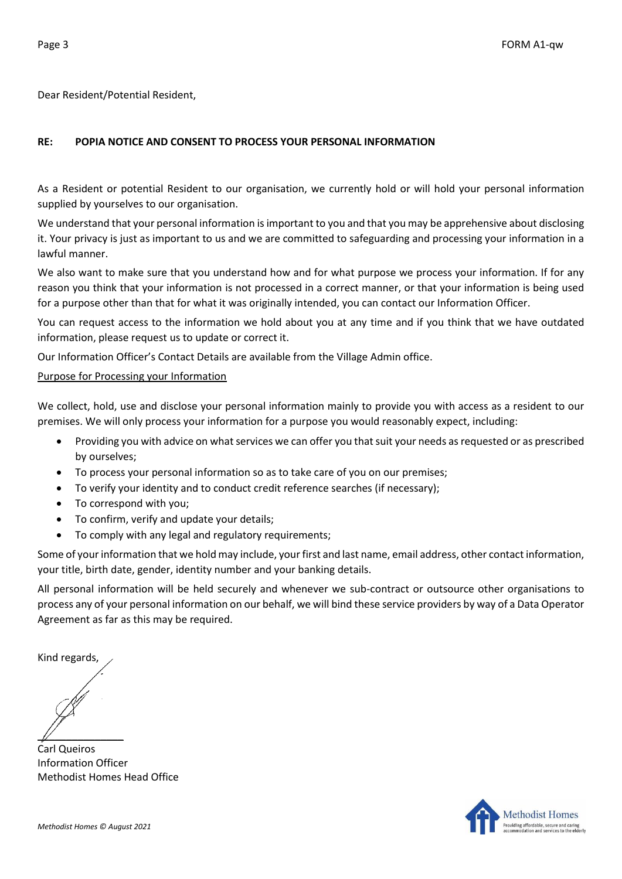Dear Resident/Potential Resident,

## **RE: POPIA NOTICE AND CONSENT TO PROCESS YOUR PERSONAL INFORMATION**

As a Resident or potential Resident to our organisation, we currently hold or will hold your personal information supplied by yourselves to our organisation.

We understand that your personal information is important to you and that you may be apprehensive about disclosing it. Your privacy is just as important to us and we are committed to safeguarding and processing your information in a lawful manner.

We also want to make sure that you understand how and for what purpose we process your information. If for any reason you think that your information is not processed in a correct manner, or that your information is being used for a purpose other than that for what it was originally intended, you can contact our Information Officer.

You can request access to the information we hold about you at any time and if you think that we have outdated information, please request us to update or correct it.

Our Information Officer's Contact Details are available from the Village Admin office.

#### Purpose for Processing your Information

We collect, hold, use and disclose your personal information mainly to provide you with access as a resident to our premises. We will only process your information for a purpose you would reasonably expect, including:

- Providing you with advice on what services we can offer you that suit your needs as requested or as prescribed by ourselves;
- To process your personal information so as to take care of you on our premises;
- To verify your identity and to conduct credit reference searches (if necessary);
- To correspond with you;
- To confirm, verify and update your details;
- To comply with any legal and regulatory requirements;

Some of your information that we hold may include, your first and last name, email address, other contact information, your title, birth date, gender, identity number and your banking details.

All personal information will be held securely and whenever we sub-contract or outsource other organisations to process any of your personal information on our behalf, we will bind these service providers by way of a Data Operator Agreement as far as this may be required.

Kind regards,

 $\mathbb{Z}$ 

Carl Queiros Information Officer Methodist Homes Head Office